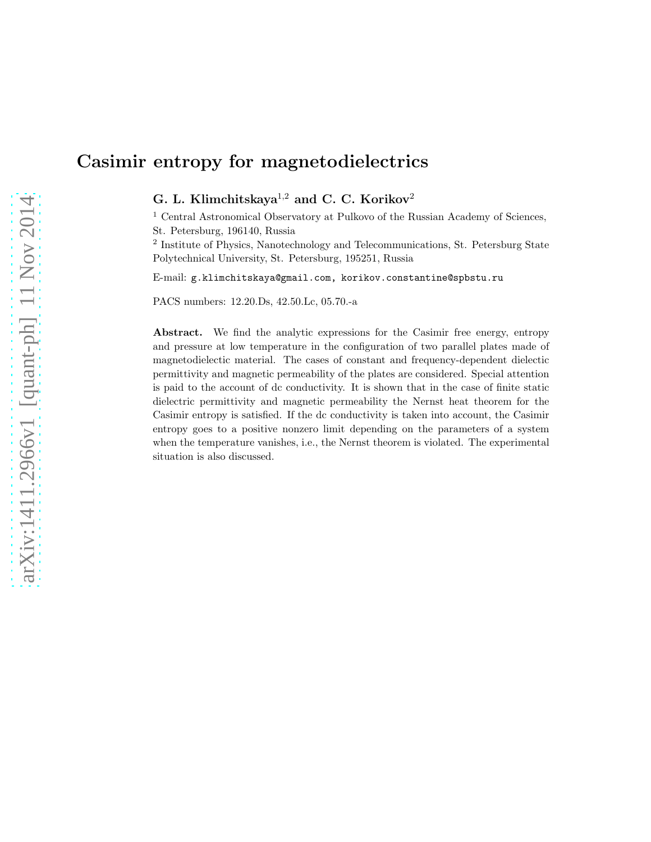# Casimir entropy for magnetodielectrics

G. L. Klimchitskaya<sup>1,2</sup> and C. C. Korikov<sup>2</sup>

<sup>1</sup> Central Astronomical Observatory at Pulkovo of the Russian Academy of Sciences, St. Petersburg, 196140, Russia

2 Institute of Physics, Nanotechnology and Telecommunications, St. Petersburg State Polytechnical University, St. Petersburg, 195251, Russia

E-mail: g.klimchitskaya@gmail.com, korikov.constantine@spbstu.ru

PACS numbers: 12.20.Ds, 42.50.Lc, 05.70.-a

Abstract. We find the analytic expressions for the Casimir free energy, entropy and pressure at low temperature in the configuration of two parallel plates made of magnetodielectic material. The cases of constant and frequency-dependent dielectic permittivity and magnetic permeability of the plates are considered. Special attention is paid to the account of dc conductivity. It is shown that in the case of finite static dielectric permittivity and magnetic permeability the Nernst heat theorem for the Casimir entropy is satisfied. If the dc conductivity is taken into account, the Casimir entropy goes to a positive nonzero limit depending on the parameters of a system when the temperature vanishes, i.e., the Nernst theorem is violated. The experimental situation is also discussed.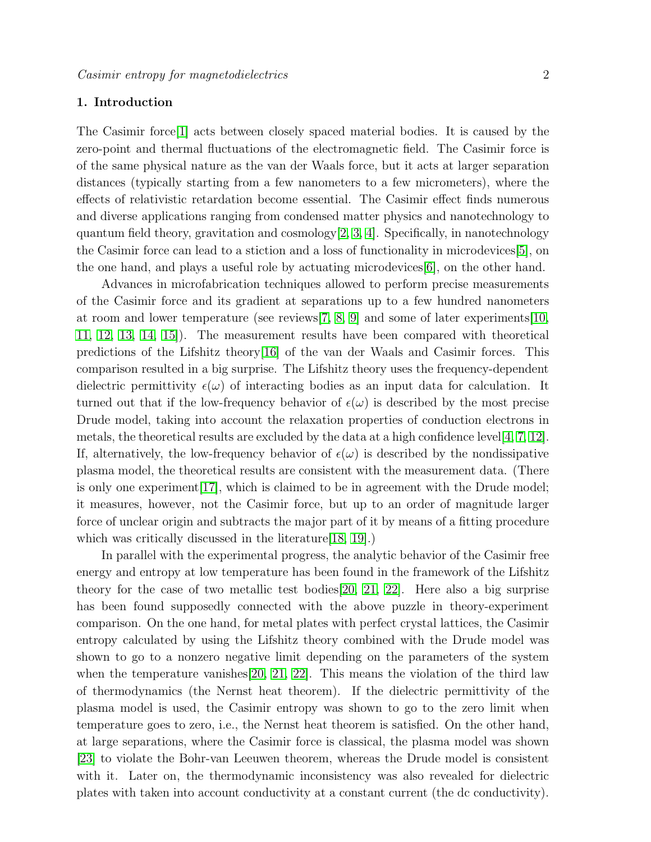# <span id="page-1-0"></span>1. Introduction

The Casimir force  $|1|$  acts between closely spaced material bodies. It is caused by the zero-point and thermal fluctuations of the electromagnetic field. The Casimir force is of the same physical nature as the van der Waals force, but it acts at larger separation distances (typically starting from a few nanometers to a few micrometers), where the effects of relativistic retardation become essential. The Casimir effect finds numerous and diverse applications ranging from condensed matter physics and nanotechnology to quantum field theory, gravitation and  $\cosm\log y[2, 3, 4]$  $\cosm\log y[2, 3, 4]$  $\cosm\log y[2, 3, 4]$  $\cosm\log y[2, 3, 4]$ . Specifically, in nanotechnology the Casimir force can lead to a stiction and a loss of functionality in microdevices[\[5\]](#page-10-4), on the one hand, and plays a useful role by actuating microdevices[\[6\]](#page-10-5), on the other hand.

Advances in microfabrication techniques allowed to perform precise measurements of the Casimir force and its gradient at separations up to a few hundred nanometers at room and lower temperature (see reviews  $[7, 8, 9]$  $[7, 8, 9]$  $[7, 8, 9]$  and some of later experiments  $[10, 10]$  $[10, 10]$ [11,](#page-10-10) [12,](#page-10-11) [13,](#page-10-12) [14,](#page-10-13) [15\]](#page-10-14)). The measurement results have been compared with theoretical predictions of the Lifshitz theory[\[16\]](#page-10-15) of the van der Waals and Casimir forces. This comparison resulted in a big surprise. The Lifshitz theory uses the frequency-dependent dielectric permittivity  $\epsilon(\omega)$  of interacting bodies as an input data for calculation. It turned out that if the low-frequency behavior of  $\epsilon(\omega)$  is described by the most precise Drude model, taking into account the relaxation properties of conduction electrons in metals, the theoretical results are excluded by the data at a high confidence level  $[4, 7, 12]$  $[4, 7, 12]$  $[4, 7, 12]$ . If, alternatively, the low-frequency behavior of  $\epsilon(\omega)$  is described by the nondissipative plasma model, the theoretical results are consistent with the measurement data. (There is only one experiment  $[17]$ , which is claimed to be in agreement with the Drude model; it measures, however, not the Casimir force, but up to an order of magnitude larger force of unclear origin and subtracts the major part of it by means of a fitting procedure which was critically discussed in the literature [\[18,](#page-11-0) [19\]](#page-11-1).)

In parallel with the experimental progress, the analytic behavior of the Casimir free energy and entropy at low temperature has been found in the framework of the Lifshitz theory for the case of two metallic test bodies[\[20,](#page-11-2) [21,](#page-11-3) [22\]](#page-11-4). Here also a big surprise has been found supposedly connected with the above puzzle in theory-experiment comparison. On the one hand, for metal plates with perfect crystal lattices, the Casimir entropy calculated by using the Lifshitz theory combined with the Drude model was shown to go to a nonzero negative limit depending on the parameters of the system when the temperature vanishes[\[20,](#page-11-2) [21,](#page-11-3) [22\]](#page-11-4). This means the violation of the third law of thermodynamics (the Nernst heat theorem). If the dielectric permittivity of the plasma model is used, the Casimir entropy was shown to go to the zero limit when temperature goes to zero, i.e., the Nernst heat theorem is satisfied. On the other hand, at large separations, where the Casimir force is classical, the plasma model was shown [\[23\]](#page-11-5) to violate the Bohr-van Leeuwen theorem, whereas the Drude model is consistent with it. Later on, the thermodynamic inconsistency was also revealed for dielectric plates with taken into account conductivity at a constant current (the dc conductivity).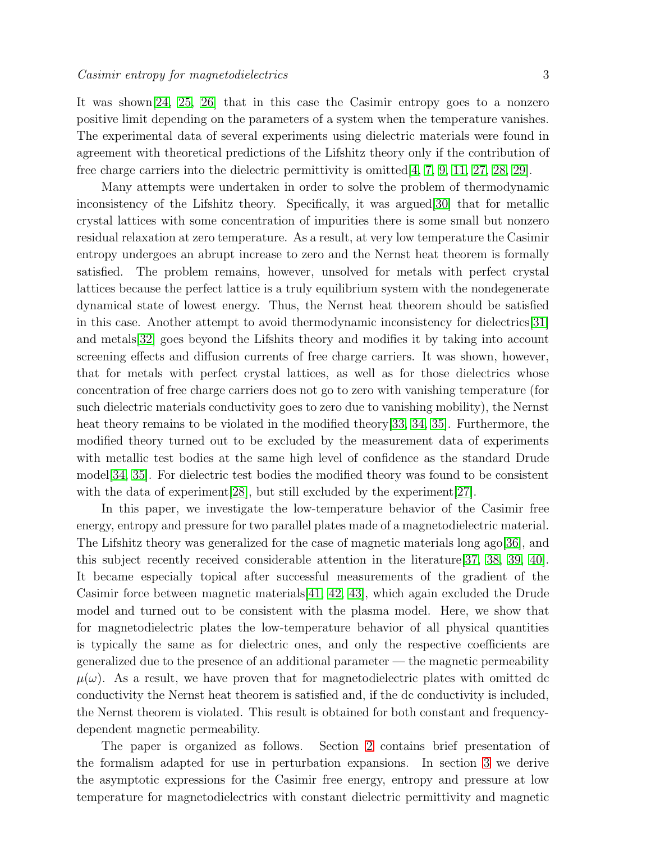It was shown[\[24,](#page-11-6) [25,](#page-11-7) [26\]](#page-11-8) that in this case the Casimir entropy goes to a nonzero positive limit depending on the parameters of a system when the temperature vanishes. The experimental data of several experiments using dielectric materials were found in agreement with theoretical predictions of the Lifshitz theory only if the contribution of free charge carriers into the dielectric permittivity is omitted  $[4, 7, 9, 11, 27, 28, 29]$  $[4, 7, 9, 11, 27, 28, 29]$  $[4, 7, 9, 11, 27, 28, 29]$  $[4, 7, 9, 11, 27, 28, 29]$  $[4, 7, 9, 11, 27, 28, 29]$  $[4, 7, 9, 11, 27, 28, 29]$  $[4, 7, 9, 11, 27, 28, 29]$  $[4, 7, 9, 11, 27, 28, 29]$ .

Many attempts were undertaken in order to solve the problem of thermodynamic inconsistency of the Lifshitz theory. Specifically, it was argued[\[30\]](#page-11-12) that for metallic crystal lattices with some concentration of impurities there is some small but nonzero residual relaxation at zero temperature. As a result, at very low temperature the Casimir entropy undergoes an abrupt increase to zero and the Nernst heat theorem is formally satisfied. The problem remains, however, unsolved for metals with perfect crystal lattices because the perfect lattice is a truly equilibrium system with the nondegenerate dynamical state of lowest energy. Thus, the Nernst heat theorem should be satisfied in this case. Another attempt to avoid thermodynamic inconsistency for dielectrics[\[31\]](#page-11-13) and metals[\[32\]](#page-11-14) goes beyond the Lifshits theory and modifies it by taking into account screening effects and diffusion currents of free charge carriers. It was shown, however, that for metals with perfect crystal lattices, as well as for those dielectrics whose concentration of free charge carriers does not go to zero with vanishing temperature (for such dielectric materials conductivity goes to zero due to vanishing mobility), the Nernst heat theory remains to be violated in the modified theory[\[33,](#page-11-15) [34,](#page-11-16) [35\]](#page-11-17). Furthermore, the modified theory turned out to be excluded by the measurement data of experiments with metallic test bodies at the same high level of confidence as the standard Drude model[\[34,](#page-11-16) [35\]](#page-11-17). For dielectric test bodies the modified theory was found to be consistent with the data of experiment [\[28\]](#page-11-10), but still excluded by the experiment [\[27\]](#page-11-9).

In this paper, we investigate the low-temperature behavior of the Casimir free energy, entropy and pressure for two parallel plates made of a magnetodielectric material. The Lifshitz theory was generalized for the case of magnetic materials long ago[\[36\]](#page-11-18), and this subject recently received considerable attention in the literature[\[37,](#page-11-19) [38,](#page-11-20) [39,](#page-11-21) [40\]](#page-11-22). It became especially topical after successful measurements of the gradient of the Casimir force between magnetic materials[\[41,](#page-11-23) [42,](#page-11-24) [43\]](#page-11-25), which again excluded the Drude model and turned out to be consistent with the plasma model. Here, we show that for magnetodielectric plates the low-temperature behavior of all physical quantities is typically the same as for dielectric ones, and only the respective coefficients are generalized due to the presence of an additional parameter — the magnetic permeability  $\mu(\omega)$ . As a result, we have proven that for magnetodielectric plates with omitted dc conductivity the Nernst heat theorem is satisfied and, if the dc conductivity is included, the Nernst theorem is violated. This result is obtained for both constant and frequencydependent magnetic permeability.

The paper is organized as follows. Section [2](#page-3-0) contains brief presentation of the formalism adapted for use in perturbation expansions. In section [3](#page-4-0) we derive the asymptotic expressions for the Casimir free energy, entropy and pressure at low temperature for magnetodielectrics with constant dielectric permittivity and magnetic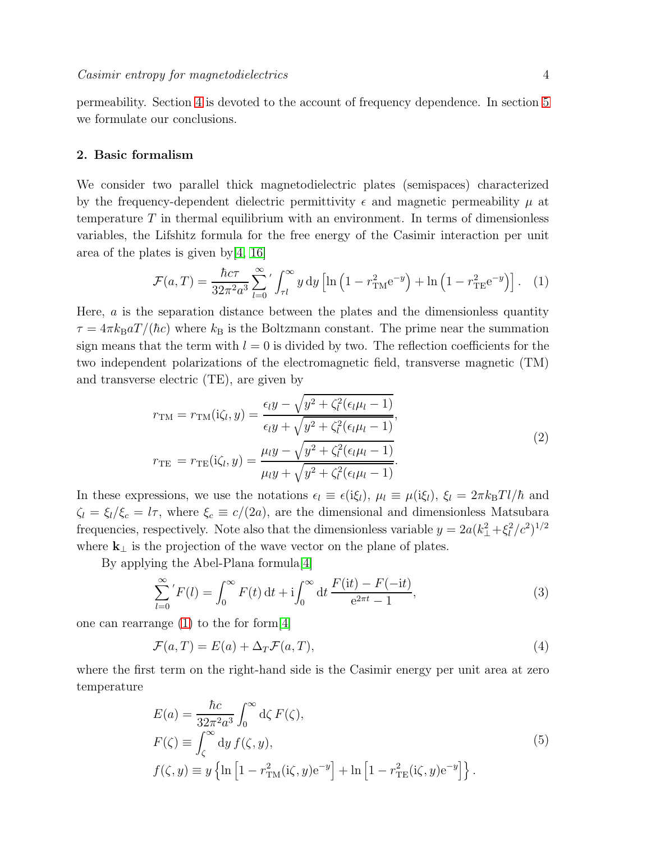permeability. Section [4](#page-7-0) is devoted to the account of frequency dependence. In section [5](#page-9-0) we formulate our conclusions.

#### <span id="page-3-0"></span>2. Basic formalism

We consider two parallel thick magnetodielectric plates (semispaces) characterized by the frequency-dependent dielectric permittivity  $\epsilon$  and magnetic permeability  $\mu$  at temperature  $T$  in thermal equilibrium with an environment. In terms of dimensionless variables, the Lifshitz formula for the free energy of the Casimir interaction per unit area of the plates is given by[\[4,](#page-10-3) [16\]](#page-10-15)

<span id="page-3-1"></span>
$$
\mathcal{F}(a,T) = \frac{\hbar c \tau}{32\pi^2 a^3} \sum_{l=0}^{\infty} \left( \int_{\tau l}^{\infty} y \, dy \left[ \ln \left( 1 - r_{\rm TM}^2 e^{-y} \right) + \ln \left( 1 - r_{\rm TE}^2 e^{-y} \right) \right] . \tag{1}
$$

Here,  $\alpha$  is the separation distance between the plates and the dimensionless quantity  $\tau = 4\pi k_{\rm B} a T/(\hbar c)$  where  $k_{\rm B}$  is the Boltzmann constant. The prime near the summation sign means that the term with  $l = 0$  is divided by two. The reflection coefficients for the two independent polarizations of the electromagnetic field, transverse magnetic (TM) and transverse electric (TE), are given by

<span id="page-3-4"></span>
$$
r_{\text{TM}} = r_{\text{TM}}(i\zeta_l, y) = \frac{\epsilon_l y - \sqrt{y^2 + \zeta_l^2(\epsilon_l \mu_l - 1)}}{\epsilon_l y + \sqrt{y^2 + \zeta_l^2(\epsilon_l \mu_l - 1)}},
$$
  
\n
$$
r_{\text{TE}} = r_{\text{TE}}(i\zeta_l, y) = \frac{\mu_l y - \sqrt{y^2 + \zeta_l^2(\epsilon_l \mu_l - 1)}}{\mu_l y + \sqrt{y^2 + \zeta_l^2(\epsilon_l \mu_l - 1)}}.
$$
\n(2)

In these expressions, we use the notations  $\epsilon_l \equiv \epsilon(i\xi_l)$ ,  $\mu_l \equiv \mu(i\xi_l)$ ,  $\xi_l = 2\pi k_B T l/\hbar$  and  $\zeta_l = \xi_l/\xi_c = l\tau$ , where  $\xi_c \equiv c/(2a)$ , are the dimensional and dimensionless Matsubara frequencies, respectively. Note also that the dimensionless variable  $y = 2a(k_{\perp}^2 + \xi_l^2/c^2)^{1/2}$ where  $\mathbf{k}_{\perp}$  is the projection of the wave vector on the plane of plates.

By applying the Abel-Plana formula[\[4\]](#page-10-3)

$$
\sum_{l=0}^{\infty} 'F(l) = \int_0^{\infty} F(t) dt + i \int_0^{\infty} dt \frac{F(it) - F(-it)}{e^{2\pi t} - 1},
$$
\n(3)

one can rearrange [\(1\)](#page-3-1) to the for form[\[4\]](#page-10-3)

<span id="page-3-2"></span>
$$
\mathcal{F}(a,T) = E(a) + \Delta_T \mathcal{F}(a,T),\tag{4}
$$

where the first term on the right-hand side is the Casimir energy per unit area at zero temperature

<span id="page-3-3"></span>
$$
E(a) = \frac{\hbar c}{32\pi^2 a^3} \int_0^\infty d\zeta F(\zeta),
$$
  
\n
$$
F(\zeta) \equiv \int_\zeta^\infty dy f(\zeta, y),
$$
  
\n
$$
f(\zeta, y) \equiv y \left\{ \ln \left[ 1 - r_{\text{TM}}^2(\mathbf{i}\zeta, y) e^{-y} \right] + \ln \left[ 1 - r_{\text{TE}}^2(\mathbf{i}\zeta, y) e^{-y} \right] \right\}.
$$
\n(5)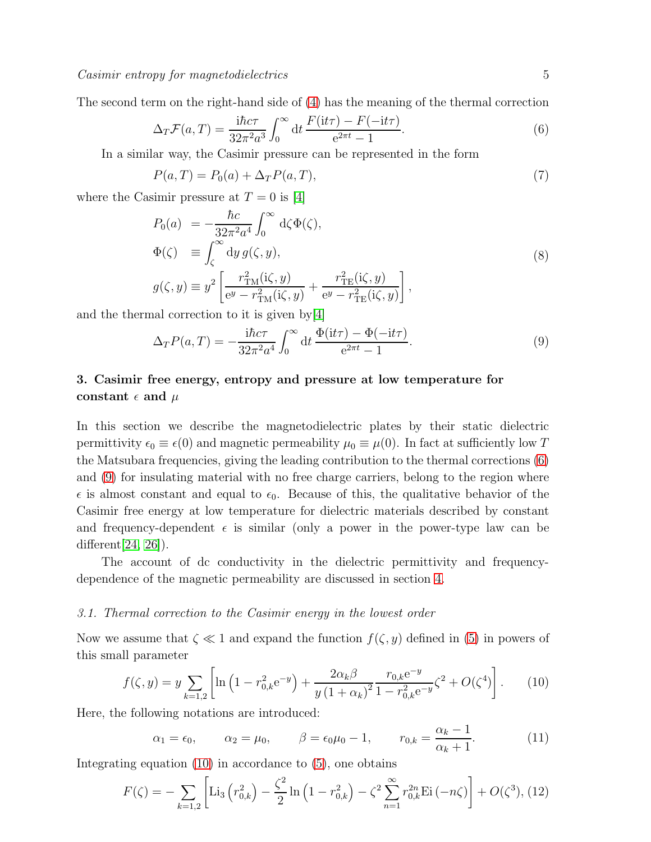The second term on the right-hand side of [\(4\)](#page-3-2) has the meaning of the thermal correction

<span id="page-4-1"></span>
$$
\Delta_T \mathcal{F}(a, T) = \frac{\mathrm{i} \hbar c \tau}{32\pi^2 a^3} \int_0^\infty \mathrm{d}t \, \frac{F(\mathrm{i} t \tau) - F(-\mathrm{i} t \tau)}{e^{2\pi t} - 1}.\tag{6}
$$

In a similar way, the Casimir pressure can be represented in the form

$$
P(a,T) = P_0(a) + \Delta_T P(a,T),\tag{7}
$$

where the Casimir pressure at  $T = 0$  is [\[4\]](#page-10-3)

<span id="page-4-5"></span>
$$
P_0(a) = -\frac{\hbar c}{32\pi^2 a^4} \int_0^\infty d\zeta \Phi(\zeta),
$$
  
\n
$$
\Phi(\zeta) \equiv \int_\zeta^\infty dy \, g(\zeta, y),
$$
  
\n
$$
g(\zeta, y) \equiv y^2 \left[ \frac{r_{\text{TM}}^2(\mathrm{i}\zeta, y)}{e^y - r_{\text{TM}}^2(\mathrm{i}\zeta, y)} + \frac{r_{\text{TE}}^2(\mathrm{i}\zeta, y)}{e^y - r_{\text{TE}}^2(\mathrm{i}\zeta, y)} \right],
$$
\n(8)

and the thermal correction to it is given by[\[4\]](#page-10-3)

<span id="page-4-2"></span>
$$
\Delta_T P(a,T) = -\frac{\mathrm{i}\hbar c\tau}{32\pi^2 a^4} \int_0^\infty dt \, \frac{\Phi(\mathrm{i}t\tau) - \Phi(-\mathrm{i}t\tau)}{e^{2\pi t} - 1}.\tag{9}
$$

# <span id="page-4-0"></span>3. Casimir free energy, entropy and pressure at low temperature for constant  $\epsilon$  and  $\mu$

In this section we describe the magnetodielectric plates by their static dielectric permittivity  $\epsilon_0 \equiv \epsilon(0)$  and magnetic permeability  $\mu_0 \equiv \mu(0)$ . In fact at sufficiently low T the Matsubara frequencies, giving the leading contribution to the thermal corrections [\(6\)](#page-4-1) and [\(9\)](#page-4-2) for insulating material with no free charge carriers, belong to the region where  $\epsilon$  is almost constant and equal to  $\epsilon_0$ . Because of this, the qualitative behavior of the Casimir free energy at low temperature for dielectric materials described by constant and frequency-dependent  $\epsilon$  is similar (only a power in the power-type law can be different[\[24,](#page-11-6) [26\]](#page-11-8)).

The account of dc conductivity in the dielectric permittivity and frequencydependence of the magnetic permeability are discussed in section [4.](#page-7-0)

#### 3.1. Thermal correction to the Casimir energy in the lowest order

Now we assume that  $\zeta \ll 1$  and expand the function  $f(\zeta, y)$  defined in [\(5\)](#page-3-3) in powers of this small parameter

<span id="page-4-3"></span>
$$
f(\zeta, y) = y \sum_{k=1,2} \left[ \ln \left( 1 - r_{0,k}^2 e^{-y} \right) + \frac{2\alpha_k \beta}{y \left( 1 + \alpha_k \right)^2} \frac{r_{0,k} e^{-y}}{1 - r_{0,k}^2 e^{-y}} \zeta^2 + O(\zeta^4) \right]. \tag{10}
$$

Here, the following notations are introduced:

$$
\alpha_1 = \epsilon_0, \qquad \alpha_2 = \mu_0, \qquad \beta = \epsilon_0 \mu_0 - 1, \qquad r_{0,k} = \frac{\alpha_k - 1}{\alpha_k + 1}.
$$
 (11)

Integrating equation [\(10\)](#page-4-3) in accordance to [\(5\)](#page-3-3), one obtains

<span id="page-4-4"></span>
$$
F(\zeta) = -\sum_{k=1,2} \left[ \text{Li}_3\left( r_{0,k}^2 \right) - \frac{\zeta^2}{2} \ln \left( 1 - r_{0,k}^2 \right) - \zeta^2 \sum_{n=1}^{\infty} r_{0,k}^{2n} \text{Ei} \left( -n\zeta \right) \right] + O(\zeta^3), (12)
$$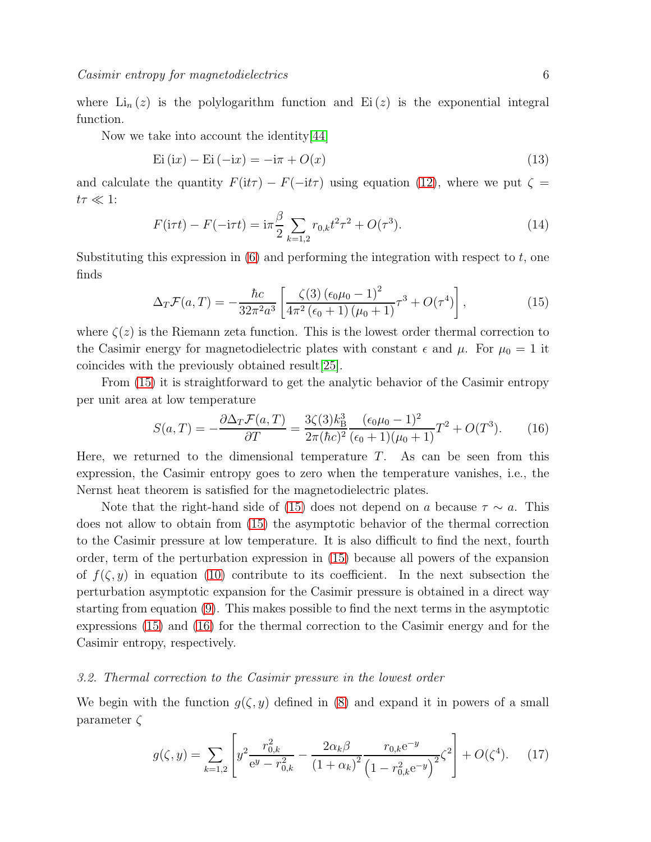where  $\text{Li}_n(z)$  is the polylogarithm function and  $\text{Ei}(z)$  is the exponential integral function.

Now we take into account the identity[\[44\]](#page-11-26)

$$
Ei(ix) - Ei(-ix) = -i\pi + O(x)
$$
\n(13)

and calculate the quantity  $F(it\tau) - F(-it\tau)$  using equation [\(12\)](#page-4-4), where we put  $\zeta =$  $t\tau \ll 1$ :

$$
F(\mathrm{i}\tau t) - F(-\mathrm{i}\tau t) = \mathrm{i}\pi \frac{\beta}{2} \sum_{k=1,2} r_{0,k} t^2 \tau^2 + O(\tau^3). \tag{14}
$$

Substituting this expression in  $(6)$  and performing the integration with respect to t, one finds

<span id="page-5-0"></span>
$$
\Delta_T \mathcal{F}(a,T) = -\frac{\hbar c}{32\pi^2 a^3} \left[ \frac{\zeta(3) \left(\epsilon_0 \mu_0 - 1\right)^2}{4\pi^2 \left(\epsilon_0 + 1\right) \left(\mu_0 + 1\right)} \tau^3 + O(\tau^4) \right],\tag{15}
$$

where  $\zeta(z)$  is the Riemann zeta function. This is the lowest order thermal correction to the Casimir energy for magnetodielectric plates with constant  $\epsilon$  and  $\mu$ . For  $\mu_0 = 1$  it coincides with the previously obtained result[\[25\]](#page-11-7).

From [\(15\)](#page-5-0) it is straightforward to get the analytic behavior of the Casimir entropy per unit area at low temperature

<span id="page-5-1"></span>
$$
S(a,T) = -\frac{\partial \Delta_T \mathcal{F}(a,T)}{\partial T} = \frac{3\zeta(3)k_B^3}{2\pi(\hbar c)^2} \frac{(\epsilon_0\mu_0 - 1)^2}{(\epsilon_0 + 1)(\mu_0 + 1)}T^2 + O(T^3).
$$
 (16)

Here, we returned to the dimensional temperature  $T$ . As can be seen from this expression, the Casimir entropy goes to zero when the temperature vanishes, i.e., the Nernst heat theorem is satisfied for the magnetodielectric plates.

Note that the right-hand side of [\(15\)](#page-5-0) does not depend on a because  $\tau \sim a$ . This does not allow to obtain from [\(15\)](#page-5-0) the asymptotic behavior of the thermal correction to the Casimir pressure at low temperature. It is also difficult to find the next, fourth order, term of the perturbation expression in [\(15\)](#page-5-0) because all powers of the expansion of  $f(\zeta, y)$  in equation [\(10\)](#page-4-3) contribute to its coefficient. In the next subsection the perturbation asymptotic expansion for the Casimir pressure is obtained in a direct way starting from equation [\(9\)](#page-4-2). This makes possible to find the next terms in the asymptotic expressions [\(15\)](#page-5-0) and [\(16\)](#page-5-1) for the thermal correction to the Casimir energy and for the Casimir entropy, respectively.

#### 3.2. Thermal correction to the Casimir pressure in the lowest order

We begin with the function  $g(\zeta, y)$  defined in [\(8\)](#page-4-5) and expand it in powers of a small parameter  $\zeta$ 

<span id="page-5-2"></span>
$$
g(\zeta, y) = \sum_{k=1,2} \left[ y^2 \frac{r_{0,k}^2}{e^y - r_{0,k}^2} - \frac{2\alpha_k \beta}{(1 + \alpha_k)^2} \frac{r_{0,k} e^{-y}}{\left(1 - r_{0,k}^2 e^{-y}\right)^2} \zeta^2 \right] + O(\zeta^4). \tag{17}
$$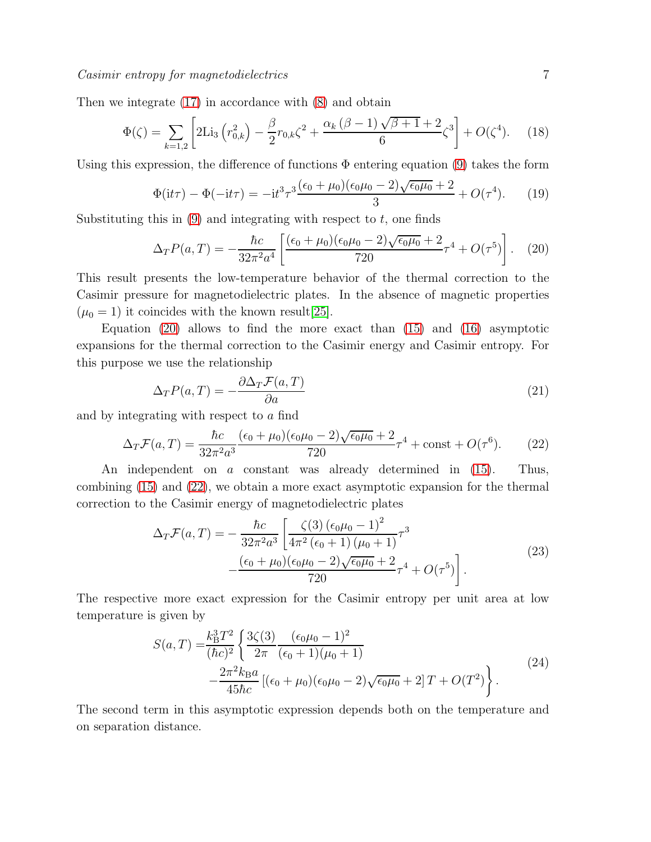Then we integrate [\(17\)](#page-5-2) in accordance with [\(8\)](#page-4-5) and obtain

$$
\Phi(\zeta) = \sum_{k=1,2} \left[ 2\text{Li}_3\left( r_{0,k}^2 \right) - \frac{\beta}{2} r_{0,k} \zeta^2 + \frac{\alpha_k (\beta - 1)\sqrt{\beta + 1} + 2}{6} \zeta^3 \right] + O(\zeta^4). \tag{18}
$$

Using this expression, the difference of functions  $\Phi$  entering equation [\(9\)](#page-4-2) takes the form

$$
\Phi(\mathbf{i}t\tau) - \Phi(-\mathbf{i}t\tau) = -\mathbf{i}t^3\tau^3 \frac{(\epsilon_0 + \mu_0)(\epsilon_0\mu_0 - 2)\sqrt{\epsilon_0\mu_0} + 2}{3} + O(\tau^4). \tag{19}
$$

Substituting this in  $(9)$  and integrating with respect to t, one finds

<span id="page-6-0"></span>
$$
\Delta_T P(a,T) = -\frac{\hbar c}{32\pi^2 a^4} \left[ \frac{(\epsilon_0 + \mu_0)(\epsilon_0 \mu_0 - 2)\sqrt{\epsilon_0 \mu_0} + 2}{720} \tau^4 + O(\tau^5) \right]. \tag{20}
$$

This result presents the low-temperature behavior of the thermal correction to the Casimir pressure for magnetodielectric plates. In the absence of magnetic properties  $(\mu_0 = 1)$  it coincides with the known result [\[25\]](#page-11-7).

Equation  $(20)$  allows to find the more exact than  $(15)$  and  $(16)$  asymptotic expansions for the thermal correction to the Casimir energy and Casimir entropy. For this purpose we use the relationship

<span id="page-6-2"></span>
$$
\Delta_T P(a,T) = -\frac{\partial \Delta_T \mathcal{F}(a,T)}{\partial a} \tag{21}
$$

and by integrating with respect to a find

<span id="page-6-1"></span>
$$
\Delta_T \mathcal{F}(a, T) = \frac{\hbar c}{32\pi^2 a^3} \frac{(\epsilon_0 + \mu_0)(\epsilon_0 \mu_0 - 2)\sqrt{\epsilon_0 \mu_0} + 2}{720} \tau^4 + \text{const} + O(\tau^6). \tag{22}
$$

An independent on a constant was already determined in [\(15\)](#page-5-0). Thus, combining [\(15\)](#page-5-0) and [\(22\)](#page-6-1), we obtain a more exact asymptotic expansion for the thermal correction to the Casimir energy of magnetodielectric plates

$$
\Delta_T \mathcal{F}(a, T) = -\frac{\hbar c}{32\pi^2 a^3} \left[ \frac{\zeta(3) (\epsilon_0 \mu_0 - 1)^2}{4\pi^2 (\epsilon_0 + 1) (\mu_0 + 1)} \tau^3 - \frac{(\epsilon_0 + \mu_0)(\epsilon_0 \mu_0 - 2) \sqrt{\epsilon_0 \mu_0} + 2}{720} \tau^4 + O(\tau^5) \right].
$$
\n(23)

The respective more exact expression for the Casimir entropy per unit area at low temperature is given by

<span id="page-6-3"></span>
$$
S(a,T) = \frac{k_{\rm B}^3 T^2}{(\hbar c)^2} \left\{ \frac{3\zeta(3)}{2\pi} \frac{(\epsilon_0 \mu_0 - 1)^2}{(\epsilon_0 + 1)(\mu_0 + 1)} - \frac{2\pi^2 k_{\rm B} a}{45\hbar c} \left[ (\epsilon_0 + \mu_0)(\epsilon_0 \mu_0 - 2) \sqrt{\epsilon_0 \mu_0} + 2 \right] T + O(T^2) \right\}.
$$
\n(24)

The second term in this asymptotic expression depends both on the temperature and on separation distance.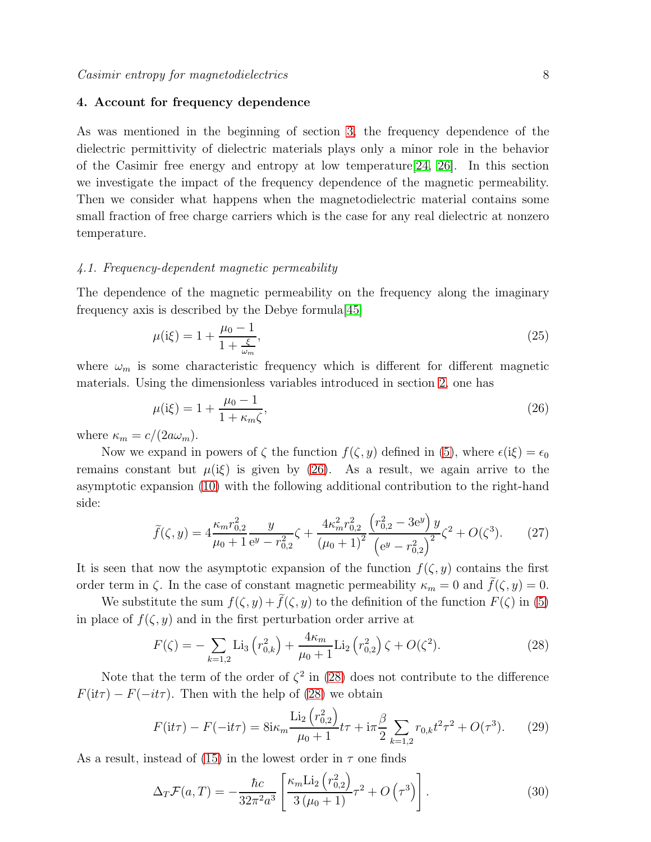#### <span id="page-7-0"></span>4. Account for frequency dependence

As was mentioned in the beginning of section [3,](#page-4-0) the frequency dependence of the dielectric permittivity of dielectric materials plays only a minor role in the behavior of the Casimir free energy and entropy at low temperature[\[24,](#page-11-6) [26\]](#page-11-8). In this section we investigate the impact of the frequency dependence of the magnetic permeability. Then we consider what happens when the magnetodielectric material contains some small fraction of free charge carriers which is the case for any real dielectric at nonzero temperature.

#### 4.1. Frequency-dependent magnetic permeability

The dependence of the magnetic permeability on the frequency along the imaginary frequency axis is described by the Debye formula[\[45\]](#page-11-27)

$$
\mu(i\xi) = 1 + \frac{\mu_0 - 1}{1 + \frac{\xi}{\omega_m}},\tag{25}
$$

where  $\omega_m$  is some characteristic frequency which is different for different magnetic materials. Using the dimensionless variables introduced in section [2,](#page-3-0) one has

<span id="page-7-1"></span>
$$
\mu(i\xi) = 1 + \frac{\mu_0 - 1}{1 + \kappa_m \zeta},\tag{26}
$$

where  $\kappa_m = c/(2a\omega_m)$ .

Now we expand in powers of  $\zeta$  the function  $f(\zeta, y)$  defined in [\(5\)](#page-3-3), where  $\epsilon(i\xi) = \epsilon_0$ remains constant but  $\mu(i\xi)$  is given by [\(26\)](#page-7-1). As a result, we again arrive to the asymptotic expansion [\(10\)](#page-4-3) with the following additional contribution to the right-hand side:

$$
\tilde{f}(\zeta, y) = 4 \frac{\kappa_m r_{0,2}^2}{\mu_0 + 1} \frac{y}{e^y - r_{0,2}^2} \zeta + \frac{4\kappa_m^2 r_{0,2}^2}{(\mu_0 + 1)^2} \frac{\left(r_{0,2}^2 - 3e^y\right) y}{\left(e^y - r_{0,2}^2\right)^2} \zeta^2 + O(\zeta^3). \tag{27}
$$

It is seen that now the asymptotic expansion of the function  $f(\zeta, y)$  contains the first order term in  $\zeta$ . In the case of constant magnetic permeability  $\kappa_m = 0$  and  $\tilde{f}(\zeta, y) = 0$ .

We substitute the sum  $f(\zeta, y) + \tilde{f}(\zeta, y)$  to the definition of the function  $F(\zeta)$  in [\(5\)](#page-3-3) in place of  $f(\zeta, y)$  and in the first perturbation order arrive at

<span id="page-7-2"></span>
$$
F(\zeta) = -\sum_{k=1,2} \text{Li}_3\left(r_{0,k}^2\right) + \frac{4\kappa_m}{\mu_0 + 1} \text{Li}_2\left(r_{0,2}^2\right)\zeta + O(\zeta^2). \tag{28}
$$

Note that the term of the order of  $\zeta^2$  in [\(28\)](#page-7-2) does not contribute to the difference  $F(it\tau) - F(-it\tau)$ . Then with the help of [\(28\)](#page-7-2) we obtain

$$
F(\mathrm{i}t\tau) - F(-\mathrm{i}t\tau) = 8\mathrm{i}\kappa_m \frac{\mathrm{Li}_2\left(r_{0,2}^2\right)}{\mu_0 + 1}t\tau + \mathrm{i}\pi \frac{\beta}{2} \sum_{k=1,2} r_{0,k}t^2\tau^2 + O(\tau^3). \tag{29}
$$

As a result, instead of [\(15\)](#page-5-0) in the lowest order in  $\tau$  one finds

<span id="page-7-3"></span>
$$
\Delta_T \mathcal{F}(a, T) = -\frac{\hbar c}{32\pi^2 a^3} \left[ \frac{\kappa_m \text{Li}_2(r_{0,2}^2)}{3(\mu_0 + 1)} \tau^2 + O\left(\tau^3\right) \right]. \tag{30}
$$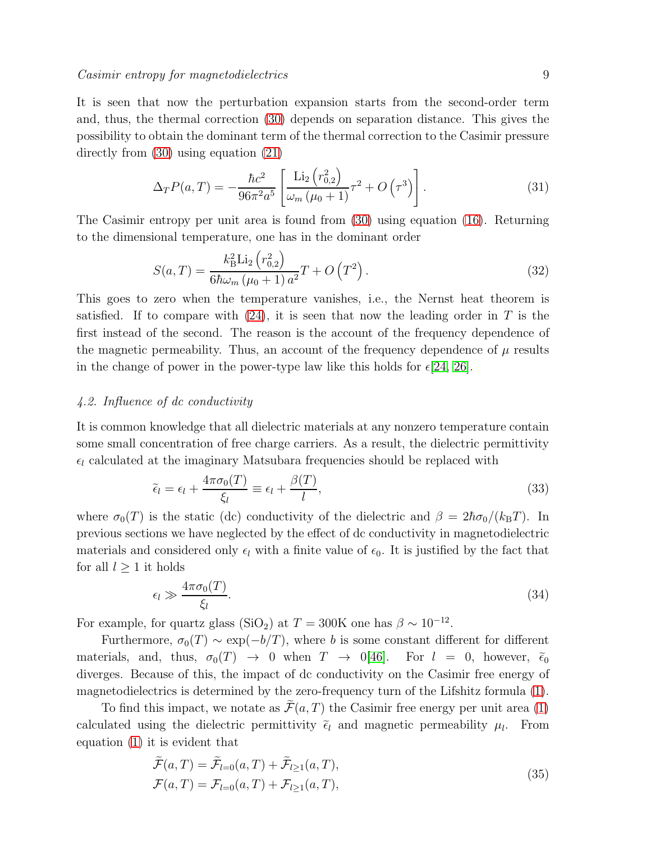It is seen that now the perturbation expansion starts from the second-order term and, thus, the thermal correction [\(30\)](#page-7-3) depends on separation distance. This gives the possibility to obtain the dominant term of the thermal correction to the Casimir pressure directly from [\(30\)](#page-7-3) using equation [\(21\)](#page-6-2)

$$
\Delta_T P(a,T) = -\frac{\hbar c^2}{96\pi^2 a^5} \left[ \frac{\text{Li}_2(r_{0,2}^2)}{\omega_m \left(\mu_0 + 1\right)} \tau^2 + O\left(\tau^3\right) \right]. \tag{31}
$$

The Casimir entropy per unit area is found from [\(30\)](#page-7-3) using equation [\(16\)](#page-5-1). Returning to the dimensional temperature, one has in the dominant order

<span id="page-8-2"></span>
$$
S(a,T) = \frac{k_{\rm B}^2 \text{Li}_2(r_{0,2}^2)}{6\hbar\omega_m(\mu_0+1) a^2} T + O\left(T^2\right). \tag{32}
$$

This goes to zero when the temperature vanishes, i.e., the Nernst heat theorem is satisfied. If to compare with  $(24)$ , it is seen that now the leading order in T is the first instead of the second. The reason is the account of the frequency dependence of the magnetic permeability. Thus, an account of the frequency dependence of  $\mu$  results in the change of power in the power-type law like this holds for  $\epsilon$ [\[24,](#page-11-6) [26\]](#page-11-8).

# 4.2. Influence of dc conductivity

It is common knowledge that all dielectric materials at any nonzero temperature contain some small concentration of free charge carriers. As a result, the dielectric permittivity  $\epsilon_l$  calculated at the imaginary Matsubara frequencies should be replaced with

<span id="page-8-0"></span>
$$
\tilde{\epsilon}_l = \epsilon_l + \frac{4\pi\sigma_0(T)}{\xi_l} \equiv \epsilon_l + \frac{\beta(T)}{l},\tag{33}
$$

where  $\sigma_0(T)$  is the static (dc) conductivity of the dielectric and  $\beta = 2\hbar\sigma_0/(k_BT)$ . In previous sections we have neglected by the effect of dc conductivity in magnetodielectric materials and considered only  $\epsilon_l$  with a finite value of  $\epsilon_0$ . It is justified by the fact that for all  $l \geq 1$  it holds

$$
\epsilon_l \gg \frac{4\pi\sigma_0(T)}{\xi_l}.\tag{34}
$$

For example, for quartz glass (SiO<sub>2</sub>) at  $T = 300$ K one has  $\beta \sim 10^{-12}$ .

Furthermore,  $\sigma_0(T) \sim \exp(-b/T)$ , where b is some constant different for different materials, and, thus,  $\sigma_0(T) \rightarrow 0$  when  $T \rightarrow 0$ [\[46\]](#page-11-28). For  $l = 0$ , however,  $\tilde{\epsilon}_0$ diverges. Because of this, the impact of dc conductivity on the Casimir free energy of magnetodielectrics is determined by the zero-frequency turn of the Lifshitz formula [\(1\)](#page-3-1).

To find this impact, we notate as  $\widetilde{\mathcal{F}}(a,T)$  the Casimir free energy per unit area [\(1\)](#page-3-1) calculated using the dielectric permittivity  $\tilde{\epsilon}_l$  and magnetic permeability  $\mu_l$ . From equation [\(1\)](#page-3-1) it is evident that

<span id="page-8-1"></span>
$$
\widetilde{\mathcal{F}}(a,T) = \widetilde{\mathcal{F}}_{l=0}(a,T) + \widetilde{\mathcal{F}}_{l\geq 1}(a,T),
$$
\n
$$
\mathcal{F}(a,T) = \mathcal{F}_{l=0}(a,T) + \mathcal{F}_{l\geq 1}(a,T),
$$
\n(35)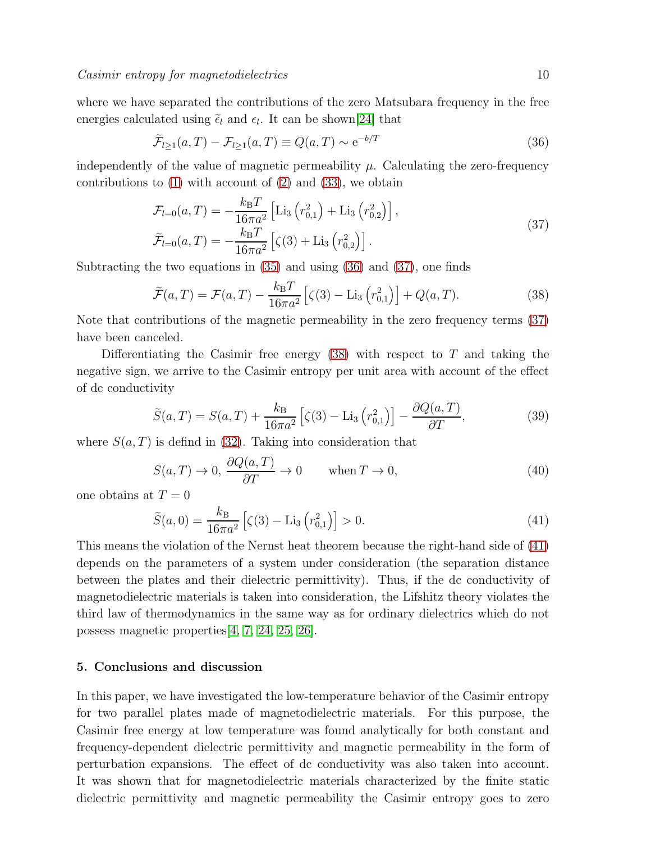where we have separated the contributions of the zero Matsubara frequency in the free energies calculated using  $\tilde{\epsilon}_l$  and  $\epsilon_l$ . It can be shown[\[24\]](#page-11-6) that

<span id="page-9-1"></span>
$$
\widetilde{\mathcal{F}}_{l\geq 1}(a,T) - \mathcal{F}_{l\geq 1}(a,T) \equiv Q(a,T) \sim e^{-b/T}
$$
\n(36)

independently of the value of magnetic permeability  $\mu$ . Calculating the zero-frequency contributions to  $(1)$  with account of  $(2)$  and  $(33)$ , we obtain

<span id="page-9-2"></span>
$$
\mathcal{F}_{l=0}(a,T) = -\frac{k_{\rm B}T}{16\pi a^2} \left[ \text{Li}_3\left(r_{0,1}^2\right) + \text{Li}_3\left(r_{0,2}^2\right) \right],
$$
\n
$$
\widetilde{\mathcal{F}}_{l=0}(a,T) = -\frac{k_{\rm B}T}{16\pi a^2} \left[ \zeta(3) + \text{Li}_3\left(r_{0,2}^2\right) \right].
$$
\n(37)

Subtracting the two equations in [\(35\)](#page-8-1) and using [\(36\)](#page-9-1) and [\(37\)](#page-9-2), one finds

<span id="page-9-3"></span>
$$
\widetilde{\mathcal{F}}(a,T) = \mathcal{F}(a,T) - \frac{k_{\rm B}T}{16\pi a^2} \left[ \zeta(3) - \text{Li}_3\left(r_{0,1}^2\right) \right] + Q(a,T). \tag{38}
$$

Note that contributions of the magnetic permeability in the zero frequency terms [\(37\)](#page-9-2) have been canceled.

Differentiating the Casimir free energy  $(38)$  with respect to T and taking the negative sign, we arrive to the Casimir entropy per unit area with account of the effect of dc conductivity

$$
\widetilde{S}(a,T) = S(a,T) + \frac{k_{\rm B}}{16\pi a^2} \left[ \zeta(3) - \text{Li}_3\left(r_{0,1}^2\right) \right] - \frac{\partial Q(a,T)}{\partial T},\tag{39}
$$

where  $S(a,T)$  is defind in [\(32\)](#page-8-2). Taking into consideration that

$$
S(a,T) \to 0, \frac{\partial Q(a,T)}{\partial T} \to 0 \quad \text{when } T \to 0,
$$
\n(40)

one obtains at  $T = 0$ 

<span id="page-9-4"></span>
$$
\widetilde{S}(a,0) = \frac{k_{\rm B}}{16\pi a^2} \left[ \zeta(3) - \text{Li}_3\left(r_{0,1}^2\right) \right] > 0. \tag{41}
$$

This means the violation of the Nernst heat theorem because the right-hand side of [\(41\)](#page-9-4) depends on the parameters of a system under consideration (the separation distance between the plates and their dielectric permittivity). Thus, if the dc conductivity of magnetodielectric materials is taken into consideration, the Lifshitz theory violates the third law of thermodynamics in the same way as for ordinary dielectrics which do not possess magnetic properties[\[4,](#page-10-3) [7,](#page-10-6) [24,](#page-11-6) [25,](#page-11-7) [26\]](#page-11-8).

# <span id="page-9-0"></span>5. Conclusions and discussion

In this paper, we have investigated the low-temperature behavior of the Casimir entropy for two parallel plates made of magnetodielectric materials. For this purpose, the Casimir free energy at low temperature was found analytically for both constant and frequency-dependent dielectric permittivity and magnetic permeability in the form of perturbation expansions. The effect of dc conductivity was also taken into account. It was shown that for magnetodielectric materials characterized by the finite static dielectric permittivity and magnetic permeability the Casimir entropy goes to zero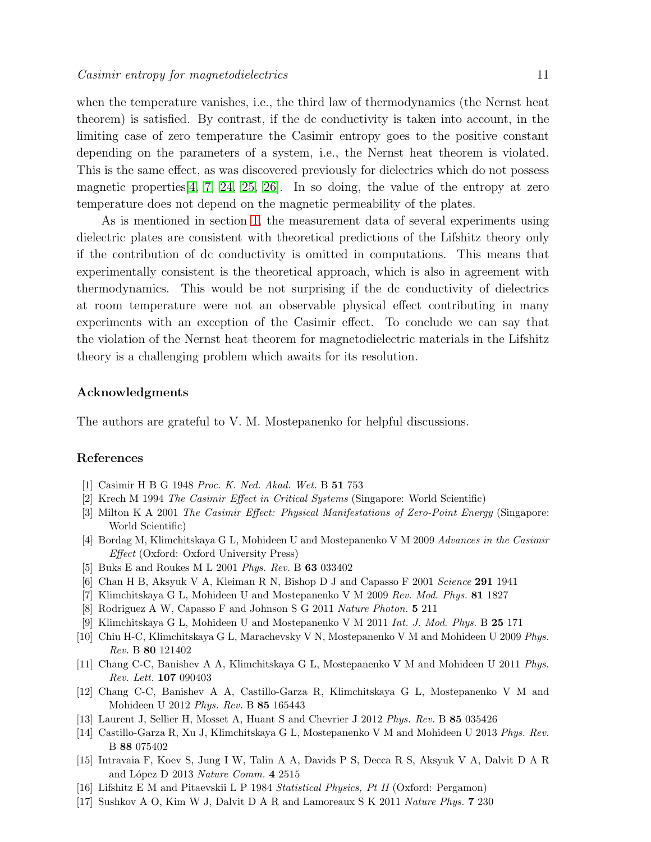when the temperature vanishes, i.e., the third law of thermodynamics (the Nernst heat theorem) is satisfied. By contrast, if the dc conductivity is taken into account, in the limiting case of zero temperature the Casimir entropy goes to the positive constant depending on the parameters of a system, i.e., the Nernst heat theorem is violated. This is the same effect, as was discovered previously for dielectrics which do not possess magnetic properties  $[4, 7, 24, 25, 26]$  $[4, 7, 24, 25, 26]$  $[4, 7, 24, 25, 26]$  $[4, 7, 24, 25, 26]$  $[4, 7, 24, 25, 26]$ . In so doing, the value of the entropy at zero temperature does not depend on the magnetic permeability of the plates.

As is mentioned in section [1,](#page-1-0) the measurement data of several experiments using dielectric plates are consistent with theoretical predictions of the Lifshitz theory only if the contribution of dc conductivity is omitted in computations. This means that experimentally consistent is the theoretical approach, which is also in agreement with thermodynamics. This would be not surprising if the dc conductivity of dielectrics at room temperature were not an observable physical effect contributing in many experiments with an exception of the Casimir effect. To conclude we can say that the violation of the Nernst heat theorem for magnetodielectric materials in the Lifshitz theory is a challenging problem which awaits for its resolution.

#### Acknowledgments

The authors are grateful to V. M. Mostepanenko for helpful discussions.

# <span id="page-10-0"></span>References

- <span id="page-10-1"></span>[1] Casimir H B G 1948 Proc. K. Ned. Akad. Wet. B 51 753
- <span id="page-10-2"></span>[2] Krech M 1994 The Casimir Effect in Critical Systems (Singapore: World Scientific)
- <span id="page-10-3"></span>[3] Milton K A 2001 The Casimir Effect: Physical Manifestations of Zero-Point Energy (Singapore: World Scientific)
- <span id="page-10-4"></span>[4] Bordag M, Klimchitskaya G L, Mohideen U and Mostepanenko V M 2009 Advances in the Casimir Effect (Oxford: Oxford University Press)
- <span id="page-10-5"></span>[5] Buks E and Roukes M L 2001 Phys. Rev. B 63 033402
- <span id="page-10-6"></span>[6] Chan H B, Aksyuk V A, Kleiman R N, Bishop D J and Capasso F 2001 Science 291 1941
- <span id="page-10-7"></span>[7] Klimchitskaya G L, Mohideen U and Mostepanenko V M 2009 Rev. Mod. Phys. 81 1827
- <span id="page-10-8"></span>[8] Rodriguez A W, Capasso F and Johnson S G 2011 Nature Photon. 5 211
- <span id="page-10-9"></span>[9] Klimchitskaya G L, Mohideen U and Mostepanenko V M 2011 Int. J. Mod. Phys. B 25 171
- <span id="page-10-10"></span>[10] Chiu H-C, Klimchitskaya G L, Marachevsky V N, Mostepanenko V M and Mohideen U 2009 Phys. Rev. B 80 121402
- <span id="page-10-11"></span>[11] Chang C-C, Banishev A A, Klimchitskaya G L, Mostepanenko V M and Mohideen U 2011 Phys. Rev. Lett. 107 090403
- [12] Chang C-C, Banishev A A, Castillo-Garza R, Klimchitskaya G L, Mostepanenko V M and Mohideen U 2012 Phys. Rev. B 85 165443
- <span id="page-10-13"></span><span id="page-10-12"></span>[13] Laurent J, Sellier H, Mosset A, Huant S and Chevrier J 2012 Phys. Rev. B 85 035426
- <span id="page-10-14"></span>[14] Castillo-Garza R, Xu J, Klimchitskaya G L, Mostepanenko V M and Mohideen U 2013 Phys. Rev. B 88 075402
- [15] Intravaia F, Koev S, Jung I W, Talin A A, Davids P S, Decca R S, Aksyuk V A, Dalvit D A R and López D 2013 Nature Comm. 4 2515
- <span id="page-10-16"></span><span id="page-10-15"></span>[16] Lifshitz E M and Pitaevskii L P 1984 Statistical Physics, Pt II (Oxford: Pergamon)
- [17] Sushkov A O, Kim W J, Dalvit D A R and Lamoreaux S K 2011 Nature Phys. 7 230